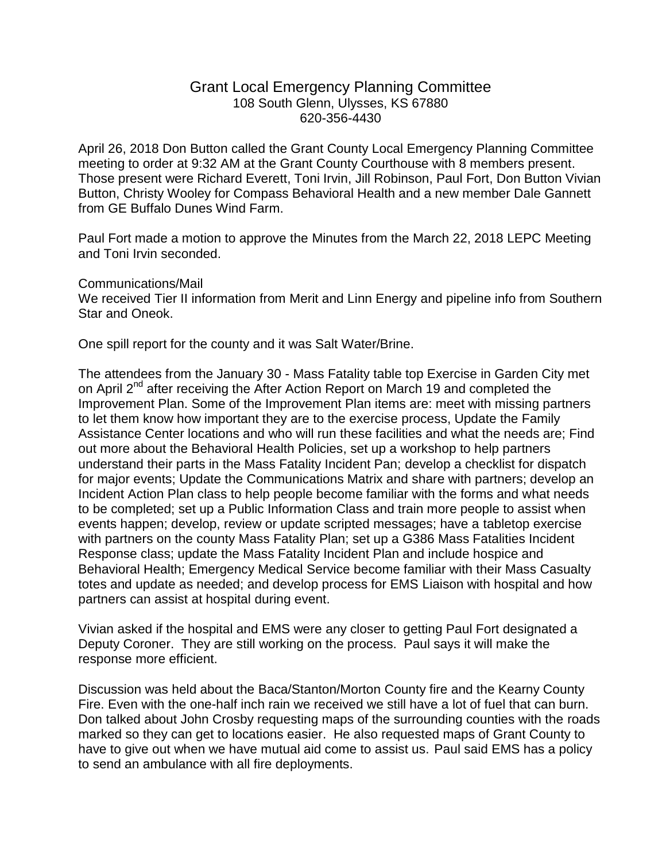## Grant Local Emergency Planning Committee 108 South Glenn, Ulysses, KS 67880 620-356-4430

April 26, 2018 Don Button called the Grant County Local Emergency Planning Committee meeting to order at 9:32 AM at the Grant County Courthouse with 8 members present. Those present were Richard Everett, Toni Irvin, Jill Robinson, Paul Fort, Don Button Vivian Button, Christy Wooley for Compass Behavioral Health and a new member Dale Gannett from GE Buffalo Dunes Wind Farm.

Paul Fort made a motion to approve the Minutes from the March 22, 2018 LEPC Meeting and Toni Irvin seconded.

Communications/Mail

We received Tier II information from Merit and Linn Energy and pipeline info from Southern Star and Oneok.

One spill report for the county and it was Salt Water/Brine.

The attendees from the January 30 - Mass Fatality table top Exercise in Garden City met on April 2<sup>nd</sup> after receiving the After Action Report on March 19 and completed the Improvement Plan. Some of the Improvement Plan items are: meet with missing partners to let them know how important they are to the exercise process, Update the Family Assistance Center locations and who will run these facilities and what the needs are; Find out more about the Behavioral Health Policies, set up a workshop to help partners understand their parts in the Mass Fatality Incident Pan; develop a checklist for dispatch for major events; Update the Communications Matrix and share with partners; develop an Incident Action Plan class to help people become familiar with the forms and what needs to be completed; set up a Public Information Class and train more people to assist when events happen; develop, review or update scripted messages; have a tabletop exercise with partners on the county Mass Fatality Plan; set up a G386 Mass Fatalities Incident Response class; update the Mass Fatality Incident Plan and include hospice and Behavioral Health; Emergency Medical Service become familiar with their Mass Casualty totes and update as needed; and develop process for EMS Liaison with hospital and how partners can assist at hospital during event.

Vivian asked if the hospital and EMS were any closer to getting Paul Fort designated a Deputy Coroner. They are still working on the process. Paul says it will make the response more efficient.

Discussion was held about the Baca/Stanton/Morton County fire and the Kearny County Fire. Even with the one-half inch rain we received we still have a lot of fuel that can burn. Don talked about John Crosby requesting maps of the surrounding counties with the roads marked so they can get to locations easier. He also requested maps of Grant County to have to give out when we have mutual aid come to assist us. Paul said EMS has a policy to send an ambulance with all fire deployments.